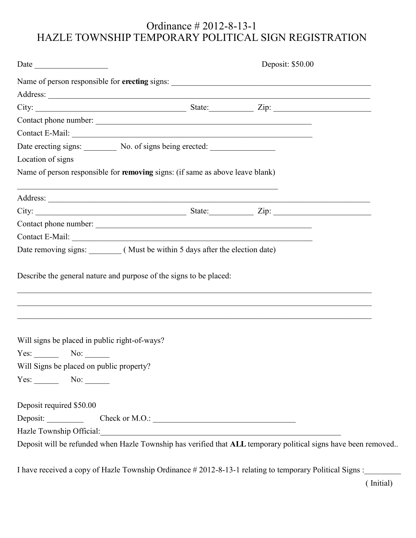## Ordinance # 2012-8-13-1 HAZLE TOWNSHIP TEMPORARY POLITICAL SIGN REGISTRATION

|                                                                                                                                                                                                                                                                                                                                                              | Date           | Deposit: \$50.00 |  |
|--------------------------------------------------------------------------------------------------------------------------------------------------------------------------------------------------------------------------------------------------------------------------------------------------------------------------------------------------------------|----------------|------------------|--|
|                                                                                                                                                                                                                                                                                                                                                              |                |                  |  |
|                                                                                                                                                                                                                                                                                                                                                              |                |                  |  |
|                                                                                                                                                                                                                                                                                                                                                              |                |                  |  |
|                                                                                                                                                                                                                                                                                                                                                              |                |                  |  |
| Contact E-Mail:                                                                                                                                                                                                                                                                                                                                              |                |                  |  |
| Date erecting signs: No. of signs being erected:                                                                                                                                                                                                                                                                                                             |                |                  |  |
| Location of signs                                                                                                                                                                                                                                                                                                                                            |                |                  |  |
| Name of person responsible for removing signs: (if same as above leave blank)                                                                                                                                                                                                                                                                                |                |                  |  |
|                                                                                                                                                                                                                                                                                                                                                              |                |                  |  |
| City: $\frac{1}{\sqrt{2}}$ State: $\frac{1}{\sqrt{2}}$ $\frac{1}{\sqrt{2}}$ $\frac{1}{\sqrt{2}}$ $\frac{1}{\sqrt{2}}$ $\frac{1}{\sqrt{2}}$ $\frac{1}{\sqrt{2}}$ $\frac{1}{\sqrt{2}}$ $\frac{1}{\sqrt{2}}$ $\frac{1}{\sqrt{2}}$ $\frac{1}{\sqrt{2}}$ $\frac{1}{\sqrt{2}}$ $\frac{1}{\sqrt{2}}$ $\frac{1}{\sqrt{2}}$ $\frac{1}{\sqrt{2}}$ $\frac{1}{\sqrt{2}}$ |                |                  |  |
|                                                                                                                                                                                                                                                                                                                                                              |                |                  |  |
|                                                                                                                                                                                                                                                                                                                                                              |                |                  |  |
|                                                                                                                                                                                                                                                                                                                                                              |                |                  |  |
|                                                                                                                                                                                                                                                                                                                                                              |                |                  |  |
| Describe the general nature and purpose of the signs to be placed:                                                                                                                                                                                                                                                                                           |                |                  |  |
|                                                                                                                                                                                                                                                                                                                                                              |                |                  |  |
|                                                                                                                                                                                                                                                                                                                                                              |                |                  |  |
|                                                                                                                                                                                                                                                                                                                                                              |                |                  |  |
|                                                                                                                                                                                                                                                                                                                                                              |                |                  |  |
|                                                                                                                                                                                                                                                                                                                                                              |                |                  |  |
|                                                                                                                                                                                                                                                                                                                                                              |                |                  |  |
| Will signs be placed in public right-of-ways?<br>$Yes:$ No: $\_\_$<br>Will Signs be placed on public property?<br>$Yes:$ No: $\_\_$                                                                                                                                                                                                                          |                |                  |  |
|                                                                                                                                                                                                                                                                                                                                                              |                |                  |  |
|                                                                                                                                                                                                                                                                                                                                                              |                |                  |  |
| Deposit required \$50.00<br>Deposit:<br>Hazle Township Official:                                                                                                                                                                                                                                                                                             | Check or M.O.: |                  |  |

I have received a copy of Hazle Township Ordinance # 2012-8-13-1 relating to temporary Political Signs :